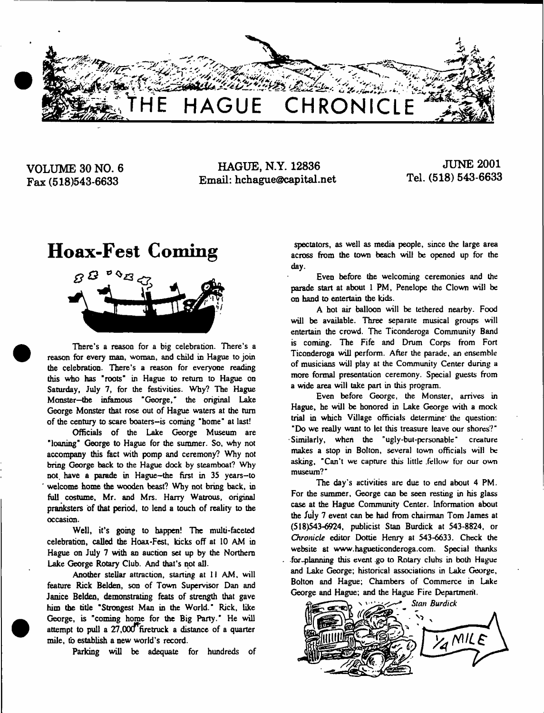

**VOLUME 30 NO. 6 Fax (518)543-6633**

**HAGUE, N.Y. 12836 Email: [hchague@capital.net](mailto:hchague@capital.net)**

**JUNE 2001 Tel. (518) 543-6633**

# **Hoax-Fest Coming**



There's a reason for a big celebration. There's a reason for every man, woman, and child in Hague to join the celebration. There's a reason for everyone reading this who has "roots" in Hague to return to Hague on Saturday, July 7, for the festivities. Why? The Hague Monster—the infamous "George," the original Lake George Monster that rose out of Hague waters at the turn of the century to scare boaters-is coming "home" at last!

Officials of the Lake George Museum are "loaning" George to Hague for the summer. So, why not accompany this feet with pomp and ceremony? Why not bring George back to the Hague dock by steamboat? Why not. have a parade in Hague-the first in 35 years-to welcome home the wooden beast? Why not bring back, in full costume, Mr. and Mrs. Harry Watrous, original pranksters of that period, to lend a touch of reality to the occasion.

Well, it's going to happen! The multi-faceted celebration, called the Hoax-Fest, kicks off at 10 AM in Hague on July 7 with an auction set up by the Northern Lake George Rotary Club. And that's not all.

Another stellar attraction, starting at 11 AM, will feature Rick Belden, son of Town Supervisor Dan and Janice Belden, demonstrating feats of strength that gave him the title "Strongest Man in the World." Rick, like George, is "coming home for the Big Party." He will attempt to pull a 27,000<sup>T</sup>firetruck a distance of a quarter mile, to establish a new world's record.

Parking will be adequate for hundreds of

spectators, as well as media people, since the large area across from the town beach will be opened up for the day.

Even before the welcoming ceremonies and the parade start at about 1 PM, Penelope the Clown will be on hand to entertain the kids.

A hot air balloon will be tethered nearby. Food will be available. Three separate musical groups will entertain the crowd. The Ticonderoga Community Band is coming. The Fife and Drum Corps from Fort Ticonderoga will perform. After the parade, an ensemble of musicians will play at the Community Center during a more formal presentation ceremony. Special guests from a wide area will take part in this program.

Even before George, the Monster, arrives in Hague, he will be honored in Lake George with a mock trial in which Village officials determine' the question: "Do we really want to let this treasure leave our shores?" •Similarly, when the "ugly-bul-personable" creature makes a stop in Bolton, several town officials will be asking, "Can't we capture this little .fellow for our own museum?"

The day's activities are due to end about 4 PM. For the summer, George can be seen resting in his glass case at the Hague Community Center. Information about the July 7 event can be had from chairman Tom James at (518)543-6924, publicist Stan Burdick at 543-8824, or *Chronicle* editor Dottie Henry at 543-6633. Check the website at [www.hagueticonderoga.com](http://www.hagueticonderoga.com). Special thanks fox ..planning this event .go to Rotary cluhs in both Hague and Lake George; historical associations in Lake George, Bolton and Hague; Chambers of Commerce in Lake George and Hague; and the Hague Fire Department.

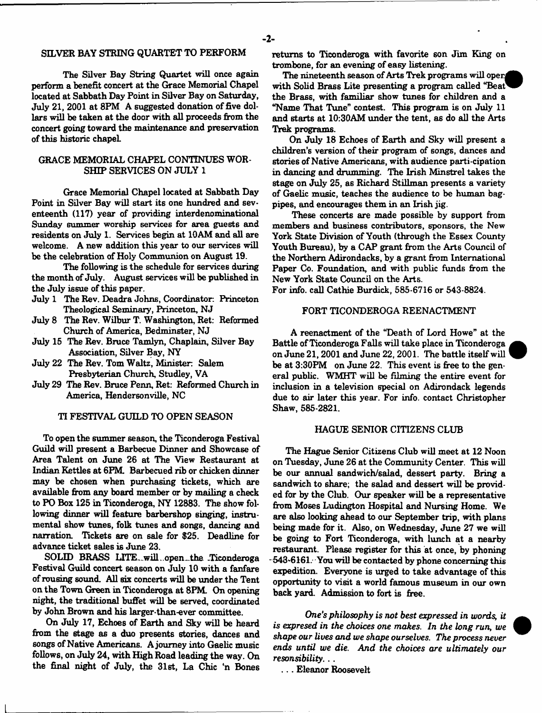#### SELVER BAY STRING QUARTET TO PERFORM

The Silver Bay String Quartet will once again perform a benefit concert at the Grace Memorial Chapel located at Sabbath Day Point in Silver Bay on Saturday, July 21, 2001 at 8PM A suggested donation of five dollars will be taken at the door with all proceeds from the concert going toward the maintenance and preservation of this historic chapeL

#### GRACE MEMORIAL CHAPEL CONTINUES WOR-SHIP SERVICES ON JULY 1

Grace Memorial Chapel located at Sabbath Day Point in Silver Bay will start its one hundred and seventeenth (117) year of providing interdenominational Sunday summer worship services for area guests and residents on July 1. Services begin at 10AM and all are welcome. A new addition this year to our services will be the celebration of Holy Communion on August 19.

The following is the schedule for services during the month of July. August services will be published in the July issue of this paper.

- July 1 The Rev. Deadra Johns, Coordinator. Princeton Theological Seminary, Princeton, NJ
- July 8 The Rev. Wilbur T. Washington, Ret: Reformed Church of America, Bedminster, NJ
- July 15 The Rev. Bruce Tamlyn, Chaplain, Silver Bay Association, Silver Bay, NY
- July 22 The Rev. Tom Waltz, Minister: Salem Presbyterian Church, Studley, VA
- July 29 The Rev. Bruce Penn, Ret: Reformed Church in America, Hendersonville, NC

#### TI FESTIVAL GUILD TO OPEN SEASON

To open the summer season, the Ticonderoga Festival Guild will present a Barbecue Dinner and Showcase of Area Talent on June 26 at The View Restaurant at Indian Kettles at 6PM. Barbecued rib or chicken dinner may be chosen when purchasing tickets, which are available from any board member or by mailing a check to PO Box 125 in Ticonderoga, NY 12883. The show following dinner will feature barbershop singing, instrumental show tunes, folk tunes and songs, dancing and narration. Tickets are on sale for \$25. Deadline for advance ticket sales is June 23.

SOLID BRASS LITE.will open.the .Ticonderoga Festival Guild concert season on July 10 with a fanfare of rousing sound. All six concerts will be under the Tent on the Town Green in Ticonderoga at 8PM. On opening night, the traditional buffet will be served, coordinated by John Brown and his larger-than-ever committee.

On July 17, Echoes of Earth and Sky will be heard from the stage as a duo presents stories, dances and songs of Native Americans. A journey into Gaelic music follows, on July 24, with High Road leading the way. On the final night of July, the 31st, La Chic 'n Bones returns to Ticonderoga with favorite son Jim King on trombone, for an evening of easy listening.

The nineteenth season of Arts Trek programs will open with Solid Brass Lite presenting a program called "Beat" the Brass, with familiar show tunes for children and a "Name That Tune" contest. This program is on July 11 and starts at 10:30AM under the tent, as do all the Arts Trek programs.

On July 18 Echoes of Earth and Sky will present a children's version of their program of songs, dances and stories of Native Americans, with audience parti-cipation in dancing and drumming. The Irish Minstrel takes the stage on July 25, as Richard Stillman presents a variety of Gaelic music, teaches the audience to be human bagpipes, and encourages them in an Irish jig.

These concerts are made possible by support from members and business contributors, sponsors, the New York State Division of Youth (through the Essex County Youth Bureau), by a CAP grant from the Arts Council of the Northern Adirondacks, by a grant from International Paper Co. Foundation, and with public funds from the New York State Council on the Arts.

For info. call Cathie Burdick, 585-6716 or 543-8824.

#### FORT TICONDEROGA REENACTMENT

A reenactment of the "Death of Lord Howe" at the Battle of Ticonderoga Falls will take place in Ticonderoga on June 21,2001 and June 22,2001. The battle itself will be at 3:30PM on June 22. This event is free to the general public. WMHT will be filming the entire event for inclusion in a television special on Adirondack legends due to air later this year. For info, contact Christopher Shaw, 585-2821.

#### HAGUE SENIOR CITIZENS CLUB

The Hague Senior Citizens Club will meet at 12 Noon on Tuesday, June 26 at the Community Center. This will be our annual sandwich/salad, dessert party. Bring a sandwich to share; the salad and dessert will be provided far by the Club. Our speaker will be a representative from Moses Ludington Hospital and Nursing Home. We are also looking ahead to our September trip, with plans being made for it. Also, on Wednesday, June 27 we will be going to Fort Ticonderoga, with lunch at a nearby restaurant. Please register for this at once, by phoning 543-6161. You will be contacted by phone concerning this expedition. Everyone is urged to take advantage of this opportunity to visit a world famous museum in our own back yard. Admission to fort is free.

*One's philosophy is not best expressed in words, it is expresed in the choices one makes. In the long run, we shape our lives and we shape ourselves. The process never ends until we die. And the choices are ultimately our resonsibility*. ..

. . . Eleanor Roosevelt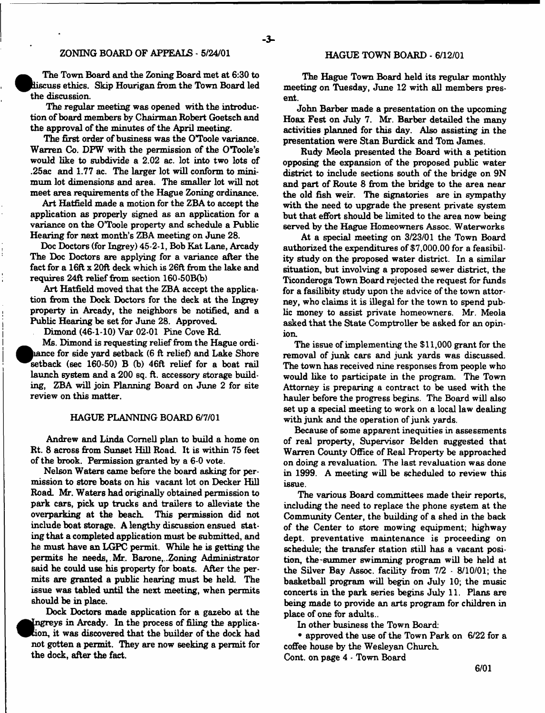### ZONING BOARD OF APPEALS - 5/24/01

The Town Board and the Zoning Board met at 6:30 to iscus6 ethics. Skip Hourigan from the Town Board led the discussion.

The regular meeting was opened with the introduction of board members by Chairman Robert Goetsch and the approval of the minutes of the April meeting.

The first order of business was the O'Toole variance. Warren Co. DPW with the permission of the O'Toole's would like to subdivide a 2.02 ac. lot into two lots of .25ac and 1.77 ac. The larger lot will conform to minimum lot dimensions and area. The smaller lot will not meet area requirements of the Hague Zoning ordinance.

Art Hatfield made a motion for the ZBA to accept the application as properly signed as an application for a variance on the O'Toole property and schedule a Public Hearing for next month's ZBA meeting on June 28.

Doc Doctors (for Ingrey) 45-2-1, Bob Kat Lane, Arcady The Doc Doctors are applying for a variance after the fact for a 16ft x 20ft deck which is 26ft from the lake and requires 24ft relief from section 160-50B(b)

Art Hatfield moved that the ZBA accept the application from the Dock Doctors for the deck at the Ingrey property in Arcady, the neighbors be notified, and a Public Hearing be set for June 28. Approved.

Dimond (46-1-10) Var 02-01 Pine Cove Rd.

hance for side yard setback (6 ft relief) and Lake Shore Ms. Dimond is requesting relief from the Hague ordisetback (sec 160-50) B (b) 46ft relief for a boat rail launch system and a 200 sq. ft. accessory storage building, ZBA will join Planning Board on June 2 for site review on this matter.

#### HAGUE PLANNING BOARD 6/7/01

Andrew and Linda Cornell plan to build a home on Rt. 8 across from Sunset Hill Road. It is within 75 feet of the brook. Permission granted by a 6-0 vote.

Nelson Waters came before the board asking for permission to store boats on his vacant lot on Decker Hill Road. Mr. Waters had originally obtained permission to park cars, pick up trucks and trailers to alleviate the overparking at the beach. This permission did not include boat storage. A lengthy discussion ensued stating that a completed application must be submitted, and he must have an LGPC permit. While he is getting the permits he needs, .Mr. Barone,..Zoning Administrator said he could use his property for boats. After the permits are granted a public hearing must be held. The issue was tabled until the next meeting, when permits should be in place.

Dock Doctors made application for a gazebo at the Ingreys in Arcady. In the process of filing the applicaion, it was discovered that the builder of the dock had ^Pcion,: not gotten a permit. They are now seeking a permit for the dock, after the fact.

#### HAGUE TOWN BOARD - 6/12/01

The Hague Town Board held its regular monthly meeting on Tuesday, June 12 with all members present.

John Barber made a presentation on the upcoming Hoax Fest on July 7. Mr. Barber detailed the many activities planned for this day. Also assisting in the presentation were Stan Burdick and Tom James.

Rudy Meola presented the Board with a petition opposing the expansion of the proposed public water district to include sections south of the bridge on 9N and part of Route 8 from the bridge to the area near the old fish weir. The signatories are in sympathy with the need to upgrade the present private system but that effort should be limited to the area now being served by the Hague Homeowners Assoc. Waterworks

At a special meeting on 3/23/01 the Town Board authorized the expenditures of \$7,000.00 for a feasibility study on the proposed water district. In a similar situation, but involving a proposed sewer district, the Ticonderoga Town Board rejected the request for funds for a fasilibity study upon the advice of the town attorney, who claims it is illegal for the town to spend public money to assist private homeowners. Mr. Meola asked that the State Comptroller be asked for an opinion.

The issue of implementing the \$11,000 grant for the removal of junk cars and junk yards was discussed. The town has received nine responses from people who would like to participate in the program. The Town Attorney is preparing a contract to be used with the hauler before the progress begins. The Board will also set up a special meeting to work on a local law dealing with junk and the operation of junk yards.

Because of some apparent inequities in assessments of real property, Supervisor Belden suggested that Warren County Office of Real Property be approached on doing a revaluation. The last revaluation was done in 1999. A meeting will be scheduled to review this issue.

The various Board committees made their reports, including the need to replace the phone system at the Community Center, the building of a shed in the back of the Center to store mowing equipment; highway dept, preventative maintenance is proceeding on schedule; the transfer station still has a vacant position, the-summer swimming program will be held at the Silver Bay Assoc, facility from 7/2 - 8/10/01; the basketball program will begin on July 10; the music concerts in the park series begins July 11. Plans are being made to provide an arts program for children in place of one for adults..

In other business the Town Board:

• approved the use of the Town Park on 6/22 for a coffee house by the Wesleyan Church. Cont. on page 4 - Town Board

6/01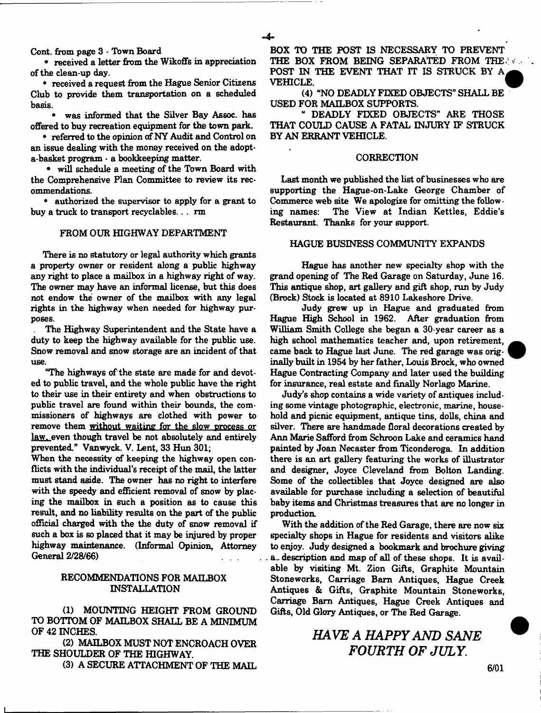Cont. from page 3 - Town Board

• received a letter from the Wikoffs in appreciation of the clean-up day.

• received a request from the Hague Senior Citizens Club to provide them transportation on a scheduled basis.

• was informed that the Silver Bay Assoc, has offered to buy recreation equipment for the town park.

• referred to the opinion of NY Audit and Control on an issue dealing with the money received on the adopta-basket program • a bookkeeping matter.

• will schedule a meeting of the Town Board with the Comprehensive Plan Committee to review its recommendations.

• authorized the supervisor to apply for a grant to buy a truck to transport recyclables... rm

#### FROM OUR HIGHWAY DEPARTMENT

There is no statutory or legal authority which grants a property owner or resident along a public highway any right to place a mailbox in a highway right of way. The owner may have an informal license, but this does not endow the owner of the mailbox with any legal rights in the highway when needed for highway purposes.

The Highway Superintendent and the State have a duty to keep the highway available for the public use. Snow removal and snow storage are an incident of that use.

"The highways of the state are made for and devoted to public travel, and the whole public have the right to their use in their entirety and when obstructions to public travel are found within their bounds, the commissioners of highways are clothed with power to remove them without waiting for the slow process or law, even though travel be not absolutely and entirely prevented." Vanwyck. V. Lent, 33 Him 301;

When the necessity of keeping the highway open conflicts with the individual's receipt of the mail, the latter must stand aside. The owner has no right to interfere with the speedy and efficient removal of snow by placing the mailbox in such a position as to cause this result, and no liability results on the part of the public official charged with the the duty of snow removal if such a box is so placed that it may be injured by proper highway maintenance. (Informal Opinion, Attorney General 2/28/66)

#### RECOMMENDATIONS FOR MAILBOX INSTALLATION

(1) MOUNTING HEIGHT FROM GROUND TO BOTTOM OF MAILBOX SHALL BE A MINIMUM OF 42 INCHES.

(2) MAILBOX MUST NOT ENCROACH OVER THE SHOULDER OF THE HIGHWAY.

(3) A SECURE ATTACHMENT OF THE MAIL

BOX TO THE POST IS NECESSARY TO PREVENT THE BOX FROM BEING SEPARATED FROM THE. POST IN THE EVENT THAT IT IS STRUCK BY A VEHICLE.

(4) "NO DEADLY FIXED OBJECTS" SHALL BE USED FOR MAILBOX SUPPORTS.

" DEADLY FIXED OBJECTS" ARE THOSE THAT COULD CAUSE A FATAL INJURY IF STRUCK BY AN ERRANT VEHICLE.

#### CORRECTION

Last month we published the list of businesses who are supporting the Hague-on-Lake George Chamber of Commerce web site We apologize for omitting the following names: The View at Indian Kettles, Eddie's Restaurant. Thanks for your support.

#### HAGUE BUSINESS COMMUNITY EXPANDS

Hague has another new specialty shop with the grand opening of The Red Garage on Saturday, June 16. This antique shop, art gallery and gift shop, run by Judy (Brock) Stock is located at 8910 Lakeshore Drive.

Judy grew up in Hague and graduated from Hague High School in 1962. After graduation from William Smith College she began a 30-year career as a high school mathematics teacher and, upon retirement, came back to Hague last June. The red garage was originally built in 1954 by her father, Louis Brock, who owned Hague Contracting Company and later used the building for insurance, real estate and finally Norlago Marine.

Judy's shop contains a wide variety of antiques including some vintage photographic, electronic, marine, household and picnic equipment, antique tins, dolls, china and silver. There are handmade floral decorations created by Ann Marie Safford from Schroon Lake and ceramics hand painted by Joan Necaster from Ticonderoga. In addition there is an art gallery featuring the works of illustrator and designer, Joyce Cleveland from Bolton Landing. Some of the collectibles that Joyce designed are also available for purchase including a selection of beautiful baby items and Christmas treasures that are no longer in production.

With the addition of the Red Garage, there are now six specialty shops in Hague for residents and visitors alike to enjoy. Judy designed a bookmark and brochure giving a. description and map of all of these shops. It is available by visiting Mt. Zion Gifts, Graphite Mountain Stoneworks, Carriage Barn Antiques, Hague Creek Antiques & Gifts, Graphite Mountain Stoneworks, Carriage Barn Antiques, Hague Creek Antiques and Gifts, Old Glory Antiques, or The Red Garage.

*HAVE A HAPPY AND SANE FOURTH OF JULY.*

6/01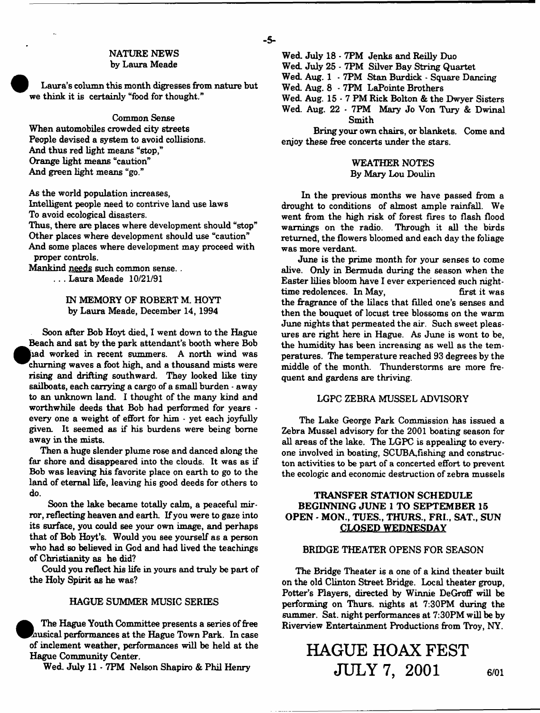#### NATURE NEWS by Laura Meade

Laura's column this month digresses from nature but we think it is certainly "food for thought."

#### Common Sense

When automobiles crowded city streets People devised a system to avoid collisions. And thus red light means "stop," Orange light means "caution" And green light means "go."

As the world population increases,

Intelligent people need to contrive land use laws To avoid ecological disasters.

Thus, there are places where development should "stop" Other places where development should use "caution" And some places where development may proceed with proper controls.

Mankind needs such common sense. . .. . Laura Meade 10/21/91

#### IN MEMORY OF ROBERT M. HOYT by Laura Meade, December 14, 1994

Soon after Bob Hoyt died, I went down to the Hague Beach and sat by the park attendant's booth where Bob Jjiad worked in recent summers. A north wind was churning waves a foot high, and a thousand mists were rising and drifting southward. They looked like tiny sailboats, each carrying a cargo of a small burden - away to an unknown land. I thought of the many kind and worthwhile deeds that Bob had performed for years  $\cdot$ every one a weight of effort for him - yet each joyfully given. It seemed as if his burdens were being borne away in the mists.

Then a huge slender plume rose and danced along the far shore and disappeared into the clouds. It was as if Bob was leaving his favorite place on earth to go to the land of eternal life, leaving his good deeds for others to do.

Soon the lake became totally calm, a peaceful mirror, reflecting heaven and earth. If you were to gaze into its surface, you could see your own image, and perhaps that of Bob Hoyt's. Would you see yourself as a person who had so believed in God and had lived the teachings of Christianity as he did?

Could you reflect his life in yours and truly be part of the Holy Spirit as be was?

#### HAGUE SUMMER MUSIC SERIES

The Hague Youth Committee presents a series of free Rausical performances at the Hague Town Park. In case of inclement weather, performances will be held at the Hague Community Center.

Wed. July 11 - 7PM Nelson Shapiro & Phil Henry

Wed. July 18 - 7PM Jenks and Reilly Duo Wed. July 25 - 7PM Silver Bay String Quartet Wed. Aug. 1 - 7PM Stan Burdick - Square Dancing Wed. Aug. 8 - 7PM LaPointe Brothers Wed. Aug.  $15 \cdot 7$  PM Rick Bolton & the Dwyer Sisters Wed. Aug. 22 - 7PM Mary Jo Von Tury & Dwinal

Smith

Bring your own chairs, or blankets. Come and enjoy these free concerts under the stars.

#### WEATHER NOTES By Mary Lou Doulin

In the previous months we have passed from a drought to conditions of almost ample rainfall. We went from the high risk of forest fires to flash flood warnings on the radio. Through it all the birds returned, the flowers bloomed and each day the foliage was more verdant.

June is the prime month for your senses to come alive. Only in Bermuda during the season when the Easter lilies bloom have I ever experienced such nighttime redolences. In May, first it was the fragrance of the lilacs that filled one's senses and then the bouquet of locust tree blossoms on the warm June nights that permeated the air. Such sweet pleasures are right here in Hague. As June is wont to be, the humidity has been increasing as well as the tem peratures. The temperature reached 93 degrees by the middle of the month. Thunderstorms are more frequent and gardens are thriving.

#### LGPC ZEBRA MUSSEL ADVISORY

The Lake George Park Commission has issued a Zebra Mussel advisory for the 2001 boating season for all areas of the lake. The LGPC is appealing to everyone involved in boating, SCUBA,fishing and constructon activities to be part of a concerted effort to prevent the ecologic and economic destruction of zebra mussels

#### TRANSFER STATION SCHEDULE BEGINNING JUNE 1 TO SEPTEMBER 15 OPEN - MON., TUES., THURS., FRI., SAT., SUN CLOSED WEDNESDAY

#### BRIDGE THEATER OPENS FOR SEASON

The Bridge Theater is a one of a kind theater built on the old Clinton Street Bridge. Local theater group, Potter's Players, directed by Winnie DeGroff will be performing on Thurs. nights at 7:30PM during the summer. Sat. night performances at 7:30PM will be by Riverview Entertainment Productions from Troy, NY.

# **HAGUE HOAX FEST JULY 7, 2001 6/oi**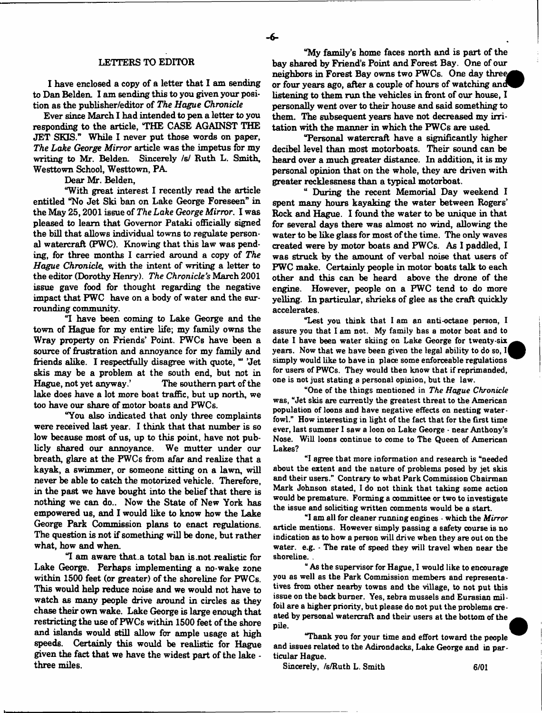#### LETTERS TO EDITOR

I have enclosed a copy of a letter that I am sending to Dan Belden. I am sending this to you given your position as the publisher/editor of *The Hague Chronicle*

Ever since March I had intended to pen a letter to you responding to the article, 'THE CASE AGAINST THE JET SKIS." While I never put those words on paper, *The Lake George Mirror* article was the impetus for my writing to Mr. Belden. Sincerely *is!* Ruth L. Smith, Westtown School, Westtown, PA.

Dear Mr. Belden,

"With great interest I recently read the article entitled "No Jet Ski ban on Lake George Foreseen" in the May 25,2001 issue of *The Lake George Mirror.* I was pleased to learn that Governor Pataki officially signed the bill that allows individual towns to regulate personal watercraft (FWC). Knowing that this law was pending, for three months I carried around a copy of *The Hague Chronicle,* with the intent of writing a letter to the editor (Dorothy Henry). *The Chronicle's* March 2001 issue gave food for thought regarding the negative impact that FWC have on a body of water and the surrounding community.

"I have been coming to Lake George and the town of Hague for my entire life; my family owns the Wray property on Friends' Point. FWCs have been a source of frustration and annoyance for my family and friends alike. I respectfully disagree with quote, " 'Jet skis may be a problem at the south end, but not in Hague, not yet anyway.' The southern part of the lake does have a lot more boat traffic, but up north, we too have our share of motor boats and FWCs.

"You also indicated that only three complaints were received last year. I think that that number is so low because most of us, up to this point, have not publicly shared our annoyance. We mutter under our breath, glare at the FWCs from afar and realize that a kayak, a swimmer, or someone sitting on a lawn, will never be able to catch the motorized vehicle. Therefore, in the past we have bought into the belief that there is nothing we can do.. Now the State of New York has empowered us, and I would like to know how the Lake George Park Commission plans to enact regulations. The question is not if something will be done, but rather what, how and when.

"I am aware that .a total ban is .not realistic for Lake George. Perhaps implementing a no-wake zone within 1500 feet (or greater) of the shoreline for FWCs. This would help reduce noise and we would not have to watch as many people drive around in circles as they chase their own wake. Lake George is large enough that restricting the use of FWCs within 1500 feet of the shore and islands would still allow for ample usage at high speeds. Certainly this would be realistic for Hague given the fact that we have the widest part of the lake three miles.

"My family's home faces north and is part of the bay shared by Friend's Point and Forest Bay. One of our neighbors in Forest Bay owns two PWCs. One day three or four years ago, after a couple of hours of watching and listening to them run the vehicles in front of our house, I personally went over to their house and said something to them. The subsequent years have not decreased my irritation with the manner in which the FWCs are used.

"Personal watercraft have a significantly higher decibel level than most motorboats. Their sound can be heard over a much greater distance. In addition, it is my personal opinion that on the whole, they are driven with greater recklessness than a typical motorboat.

" During the recent Memorial Day weekend I spent many hours kayaking the water between Rogers' Rock and Hague. I found the water to be unique in that for several days there was almost no wind, allowing the water to be like glass for most of the time. The only waves created were by motor boats and FWCs. As I paddled, I was struck by the amount of verbal noise that users of FWC make. Certainly people in motor boats talk to each other and this can be heard above the drone of the engine. However, people on a FWC tend to do more yelling. In particular, shrieks of glee as the craft quickly accelerates.

"Lest you think that I am an anti-octane person, I assure you that I am not. My family has a motor boat and to date I have been water skiing on Lake George for twenty-six years. Now that we have been given the legal ability to do so, I simply would like to have in place some enforceable regulations for users of PWCs. They would then know that if reprimanded, one is not just stating a persona) opinion, but the law.

"One of the things mentioned in *The Hague Chronicle* was, "Jet skis are currently the greatest threat to the American population of loons and have negative effects on nesting waterfowl." How interesting in light of the fact that for the first time ever, last summer I saw a loon on Lake George - near Anthony's Nose. Will loons continue to come to The Queen of American Lakes?

"1 agree that more information and research is "needed about the extent and the nature of problems posed by jet skis and their users." Contrary to what Park Commission Chairman Mark Johnson stated, I do not think that taking some action would be premature. Forming a committee or two to investigate the issue and soliciting written comments would be a start.

"I am all for cleaner running engines • which the *Mirror* article mentions. However simply passing a safety course is no indication as to how a person will drive when they are out on the water, e.g. - The rate of speed they will travel when near the shoreline. .

" As the supervisor for Hague, I would like to encourage you as well as the Park Commission members and representatives from other nearby towns and the village, to not put this issue on the back burner. Yes, zebra mussels and Eurasian milfoil are a higher priority, but please do not put the problems  $\alpha e$ . ated by personal watercraft and their users at the bottom of the pile.

"Thank you for your time and effort toward the people and issues related to the Adirondacks, Lake George and in particular Hague.

Sincerely, /s/Ruth L. Smith 6/01

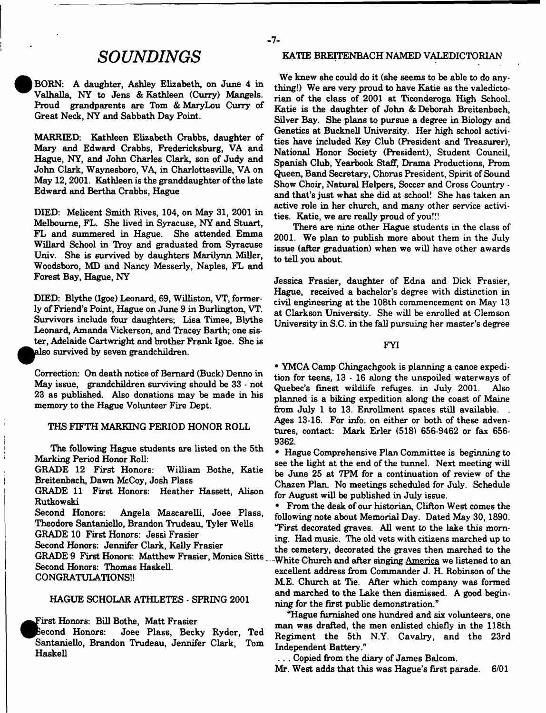BORN: A daughter, Ashley Elizabeth, on June 4 in Valhalla, NY to Jens & Kathleen (Curry) Mangels. Proud grandparents are Tom & MaryLou Curry of Great Neck, NY and Sabbath Day Point.

MARRIED: Kathleen Elizabeth Crabbs, daughter of Mary and Edward Crabbs, Fredericksburg, VA and Hague, NY, and John Charles Clark, son of Judy and John Clark, Waynesboro, VA in Charlottesville, VA on May 12,2001. Kathleen is the granddaughter of the late Edward and Bertha Crabbs, Hague

DIED: Melicent Smith Rives, 104, on May 31, 2001 in Melbourne, FL. She lived in Syracuse, NY and Stuart, FL and summered in Hague. She attended Emma Willard School in Troy and graduated from Syracuse Univ. She is survived by daughters Marilynn Miller, Woodsboro, MD and Nancy Messerly, Naples, FL and Forest Bay, Hague, NY

DIED: Blythe (Igoe) Leonard, 69, Williston, VT, formerly of Friend's Point, Hague on June 9 in Burlington, VT. Survivors include four daughters; Lisa Timee, Blythe Leonard, Amanda Vickerson, and Tracey Barth; one sister, Adelaide Cartwright and brother Frank Igoe. She is also survived by seven grandchildren.

Correction: On death notice of Bernard (Buck) Denno in May issue, grandchildren surviving should be 33 - not 23 as published. Also donations may be made in his memory to the Hague Volunteer Fire Dept.

#### THS FIFTH MARKING PERIOD HONOR ROLL

The following Hague students are listed on the 5th Marking Period Honor Roll:

GRADE 12 First Honors: William Bothe, Katie Breitenbach, Dawn McCoy, Josh Plass

GRADE 11 First Honors: Heather Hassett, Alison Rutkowski

Second Honors: Angela Mascarelli, Joee Plass, Theodore Santaniello, Brandon Trudeau, Tyler Wells

GRADE 10 First Honors: Jessi Frasier

Second Honors: Jennifer Clark, Kelly Frasier

GRADE 9 First Honors: Matthew Frasier, Monica Sitts Second Honors: Thomas Haskell.

CONGRATULATIONS!!

#### HAGUE SCHOLAR ATHLETES - SPRING 2001

First Honors: Bill Bothe, Matt Frasier

^^Becond Honors: Joee Plass, Becky Ryder, Ted Santaniello, Brandon Trudeau, Jennifer Clark, Tom Haskell

# **SOUNDINGS** KATTE BREITENBACH NAMED VALEDICTORIAN

We knew she could do it (she seems to be able to do anything!) We are very proud to have Katie as the valedictorian of the class of 2001 at Ticonderoga High School. Katie is the daughter of John & Deborah Breitenbach, Silver Bay. She plans to pursue a degree in Biology and Genetics at Bucknell University. Her high school activities have included Key Club (President and Treasurer), National Honor Society (President), Student Council, Spanish Club, Yearbook Staff, Drama Productions, Prom Queen, Band Secretary, Chorus President, Spirit of Sound Show Choir, Natural Helpers, Soccer and Cross Country and that's just what she did at school! She has taken an active role in her church, and many other service activities. Katie, we are really proud of you!!!

There are nine other Hague students in the class of 2001. We plan to publish more about them in the July issue (after graduation) when we will have other awards to tell you about.

Jessica Frasier, daughter of Edna and Dick Frasier, Hague, received a bachelor's degree with distinction in civil engineering at the 108th commencement on May 13 at Clarkson University. She will be enrolled at Clemson University in S.C. in the fall pursuing her master's degree

#### FYI

• YMCA Camp Chingachgook is planning a canoe expedition for teens, 13 - 16 along the unspoiled waterways of Quebec's finest wildlife refuges, in July 2001. Also planned is a biking expedition along the coast of Maine from July 1 to 13. Enrollment spaces still available.

Ages 13-16. For info, on either or both of these adventures, contact: Mark Erler (518) 656-9462 or fax 656- 9362.

• Hague Comprehensive Plan Committee is beginning to see the light at the end of the tunnel. Next meeting will be June 25 at 7PM for a continuation of review of the Chazen Plan. No meetings scheduled for July. Schedule for August will be published in July issue.

• From the desk of our historian, Clifton West comes the following note about Memorial Day. Dated May 30, 1890. "First decorated graves. All went to the lake this morning. Had music. The old vets with citizens marched up to the cemetery, decorated the graves then marched to the - White Church and after singing America we listened to an excellent address from Commander J. H. Robinson of the ME. Church at Tie. After which company was formed and marched to the Lake then dismissed. A good beginning for the first public demonstration."

"Hague furnished one hundred and six volunteers, one man was drafted, the men enlisted chiefly in the 118th Regiment the 5th N.Y. Cavalry, and the 23rd Independent Battery."

.. . Copied from the diary of James Balcom.

Mr. West adds that this was Hague's first parade. 6/01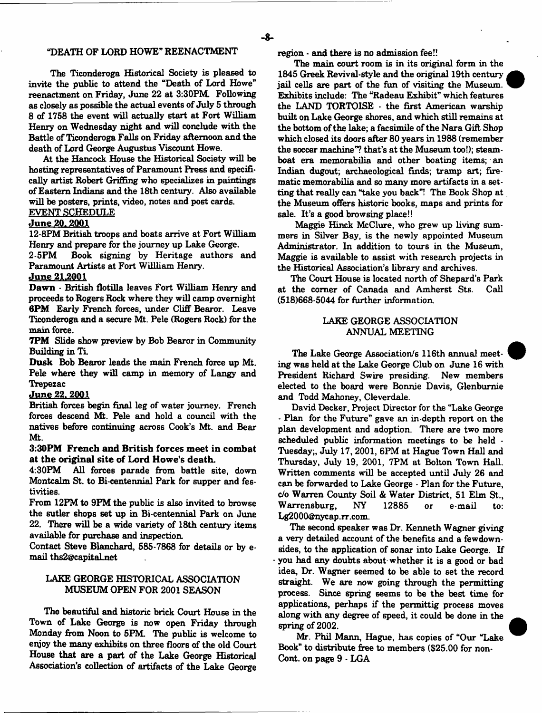#### "DEATH OF LORD HOWE" REENACTMENT

The Ticonderoga Historical Society is pleased to invite the public to attend the "Death of Lord Howe" reenactment on Friday, June 22 at 3:30PM. Following as closely as possible the actual events of July 5 through 8 of 1758 the event will actually start at Fort William Henry on Wednesday night and will conclude with the Battle of Ticonderoga Falls on Friday afternoon and the death of Lord George Augustus Viscount Howe.

At the Hancock House the Historical Society will be hosting representatives of Paramount Press and specifically artist Robert Griffmg who specializes in paintings of Eastern Indians and the 18th century. Also available will be posters, prints, video, notes and post cards.

# EVENT SCHEDULE

### June 20, 2001

12-8PM British troops and boats arrive at Fort William Henry and prepare for the journey up Lake George.

2-5PM Book signing by Heritage authors and Paramount Artists at Fort Willliam Henry.

#### <u>June 21,2001</u>

Dawn - British flotilla leaves Fort William Henry and proceeds to Rogers Rock where they will camp overnight 6PM Early French forces, under Cliff Bearor. Leave Ticonderoga and a secure Mt. Pele (Rogers Rock) for the main force.

7PM Slide show preview by Bob Bearor in Community Building in Ti.

Dusk Bob Bearor leads the main French force up Mt. Pele where they will camp in memory of Langy and Trepezac

#### <u>June 22, 2001</u>

British forces begin final leg of water journey. French forces descend Mt. Pele and hold a council with the natives before continuing across Cook's Mt. and Bear Mt.

#### 3:30PM French and British forces meet in combat at the original site of Lord Howe's death.

4:30PM All forces parade from battle site, down Montcalm St. to Bi-centennial Park for supper and festivities.

From 12FM to 9PM the public is also invited to browse the sutler shops set up in Bi centennial Park on June 22. There will be a wide variety of 18th century items available for purchase and inspection.

Contact Steve Blanchard, 585-7868 for details or by email [ths2@capital.net](mailto:ths2@capital.net)

#### LAKE GEORGE HISTORICAL ASSOCIATION MUSEUM OPEN FOR 2001 SEASON

The beautiful and historic brick Court House in the Town of Lake George is now open Friday through Monday from Noon to 5PM. The public is welcome to enjoy the many exhibits on three floors of the old Court House that are a part of the Lake George Historical Association's collection of artifacts of the Lake George

region - and there is no admission fee!!

The main court room is in its original form in the 1845 Greek Revival-style and the original 19th centuryjail cells are part of the fun of visiting the Museum. Exhibits include: The "Radeau Exhibit" which features the LAND TORTOISE - the first American warship built on Lake George shores, and which still remains at the bottom of the lake; a facsimile of the Nara Gift Shop which closed its doors after 80 years in 1988 (remember the soccer machine"? that's at the Museum too!); steamboat era memorabilia and other boating items; an Indian dugout; archaeological finds; tramp art; firematic memorabilia and so many more artifacts in a setting that really can "take you back"! The Book Shop at the Museum offers historic books, maps and prints for sale. It's a good browsing place!!

Maggie Hinck McClure, who grew up living summers in Silver Bay, is the newly appointed Museum Administrator. In addition to tours in the Museum, Maggie is available to assist with research projects in the Historical Association's library and archives.

The Court House is located north of Shepard's Park at the comer of Canada and Amherst Sts. Call (518)668-5044 for further information.

#### LAKE GEORGE ASSOCIATION ANNUAL MEETING

The Lake George Association/s 116th annual meeting was held at the Lake George Club on June 16 with President Richard Swire presiding. New members elected to the board were Bonnie Davis, Glenbumie and Todd Mahoney, Cleverdale.

David Decker, Project Director for the "Lake George \* Plan for the Future" gave an in-depth report on the plan development and adoption. There are two more scheduled public information meetings to be held - Tuesday;, July 17, 2001, 6PM at Hague Town Hall and Thursday, July 19, 2001, 7PM at Bolton Town Hall. Written comments will be accepted until July 26 and can be forwarded to Lake George • Plan for the Future, c/o Warren County Soil & Water District, 51 Elm St., W arrensburg, NY 12885 or e-mail to: [Lg2000@nycap.rr.com](mailto:Lg2000@nycap.rr.com).

The second speaker was Dr. Kenneth Wagner giving a very detailed account of the benefits and a fewdownsides, to the application of sonar into Lake George. If you had any doubts about whether it is a good or bad idea, Dr. Wagner seemed to be able to set the record straight. We are now going through the permitting process. Since spring seems to be the best time for applications, perhaps if the permittig process moves along with any degree of speed, it could be done in the spring of 2002.

Mr. Phil Mann, Hague, has copies of "Our "Lake Book" to distribute free to members (\$25.00 for non-Cont. on page 9 - LGA

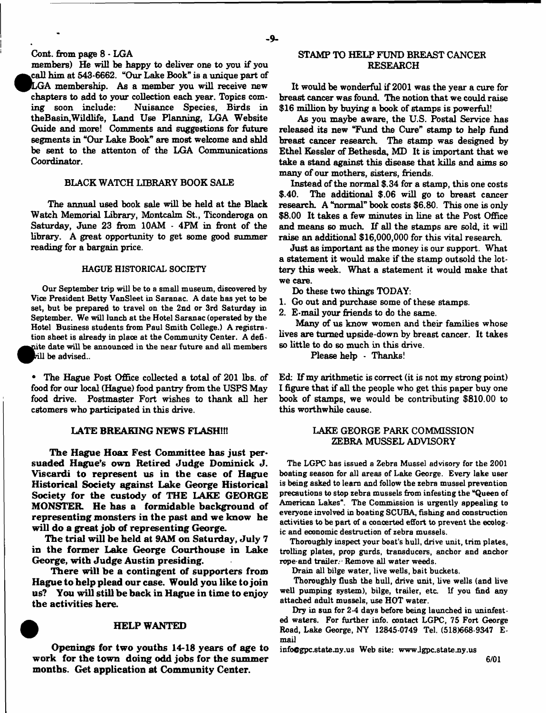Cont. from page 8 - LGA

LGA membership. As a member you will receive new members) He will be happy to deliver one to you if you call him at 543-6662. "Our Lake Book" is a unique part of chapters to add to your collection each year. Topics coming soon include: Nuisance Species, Birds in theBaain,Wildlife, Land Use Planning, LGA Website Guide and more! Comments and suggestions for future segments in "Our Lake Book" are most welcome and shld be sent to the attenton of the LGA Communications Coordinator.

#### BLACK WATCH LIBRARY BOOK SALE

The annual used book sale will be held at the Black Watch Memorial Library, Montcalm St., Ticonderoga on Saturday, June 23 from 10AM - 4PM in front of the library. A great opportunity to get some good summer reading for a bargain price.

#### HAGUE HISTORICAL SOCIETY

Our September trip will be to a small museum, discovered by Vice President Betty VanSleet in Saranac. A date has yet to be set, but be prepared to travel on the 2nd or 3rd Saturday in September. We will lunch at the Hotel Saranac (operated by the Hotel Business students from Paul Smith College.) A registration sheet is already in place at the Community Center. A defiite date will be announced in the near future and all members be advised..

\* The Hague Post Office collected a total of 201 lbs. of food for our local (Hague) food pantry from the USPS May food drive. Postmaster Fort wishes to thank all her cstomers who participated in this drive.

#### **LATE BREAKING NEWS FLASH!!!**

**The Hague Hoax Fest Committee has just persuaded Hague's own Retired Judge Dominick J. Viscardi to represent us in the case of Hague Historical Society against Lake George Historical Society for the custody of THE LAKE GEORGE MONSTER He has a formidable background of representing monsters in the past and we know he will do a great job of representing George.**

**The trial will be held at 9AM on Saturday, July 7 in the former Lake George Courthouse in Lake George, with Judge Austin presiding.**

**There will be a contingent of supporters from Hague to help plead our case. Would you like to join us? You will still be back in Hague in time to epjoy the activities here.**

#### **HELP WANTED**

**Openings for two youths 14-18 years of age to work for the town doing odd jobs for the summer months. Get application at Community Center.**

#### STAMP TO HELP FUND BREAST CANCER RESEARCH

It would be wonderful if 2001 was the year a cure for breast cancer was found. The notion that we could raise \$16 million by buying a book of stamps is powerful!

As you maybe aware, the U.S. Postal Service has released its new "Fund the Cure" stamp to help fund breast cancer research. The stamp was designed by Ethel Kessler of Bethesda, MD It is important that we take a stand against this disease that kills and aims so many of our mothers, sisters, friends.

Instead of the normal \$.34 for a stamp, this one costs \$.40. The additional \$.06 will go to breast cancer research. A "normal" book costs \$6.80. This one is only \$8.00 It takes a few minutes in line at the Post Office and means so much. If all the stamps are sold, it will raise an additional \$16,000,000 for this vital research

Just as important as the money is our support. What a statement it would make if the stamp outsold the lottery this week. What a statement it would make that we care.

Do these two things TODAY:

- 1. Go out and purchase some of these stamps.
- 2. E-mail your friends to do the same.

Many of us know women and their families whose lives are turned upside-down by breast cancer. It takes so little to do so much in this drive.

Please help - Thanks!

Ed: If my arithmetic is correct (it is not my strong point) I figure that if all the people who get this paper buy one book of stamps, we would be contributing \$810.00 to this worthwhile cause.

#### LAKE GEORGE PARK COMMISSION ZEBRA MUSSEL ADVISORY

The LGPC has issued a Zebra Mussel advisory for the 2001 boating season for all areas of Lake George. Every lake user is being asked to learn and follow the zebra mussel prevention precautions to stop zebra mussels from infesting the "Queen of American Lakes". The Commission is urgently appealing to everyone involved in boating SCUBA, fishing and construction activities to be part of a concerted effort to prevent the ecologic and economic destruction of zebra mussels.

Thoroughly inspect your boat's hull, drive unit, trim plates, trolling plates, prop gurds, transducers, anchor and anchor rope-and trailer. Remove all water weeds.

Drain all bilge water, live wells, bait buckets.

Thoroughly flush the hull, drive unit, live wells (and live well pumping system), bilge, trailer, etc. If you find any attached adult mussels, use HOT water.

Dry in sun for 2-4 days before being launched in uninfested waters. For further info, contact LGPC, 75 Fort George Road, Lake George, NY 12845-0749 Tel. (518)668-9347 Email

info@gpc.state.ny.us Web site: www.lgpc.state.ny.us